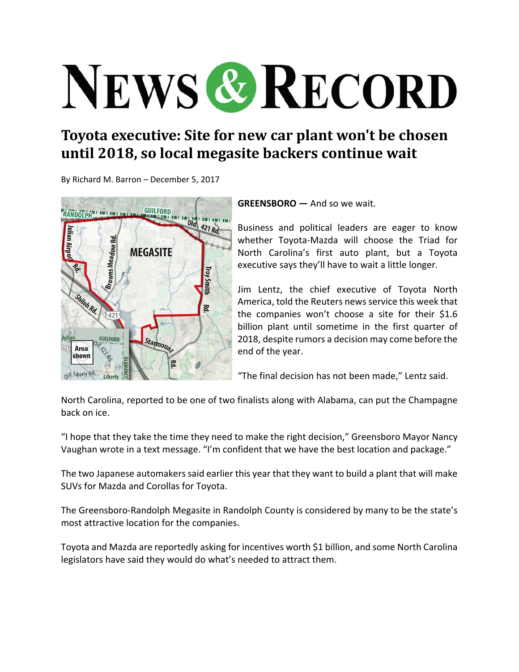## NEWS & RECORD

## **Toyota executive: Site for new car plant won't be chosen until 2018, so local megasite backers continue wait**

By Richard M. Barron – December 5, 2017



**GREENSBORO —** And so we wait.

Business and political leaders are eager to know whether Toyota‐Mazda will choose the Triad for North Carolina's first auto plant, but a Toyota executive says they'll have to wait a little longer.

Jim Lentz, the chief executive of Toyota North America, told the Reuters news service this week that the companies won't choose a site for their \$1.6 billion plant until sometime in the first quarter of 2018, despite rumors a decision may come before the end of the year.

"The final decision has not been made," Lentz said.

North Carolina, reported to be one of two finalists along with Alabama, can put the Champagne back on ice.

"I hope that they take the time they need to make the right decision," Greensboro Mayor Nancy Vaughan wrote in a text message. "I'm confident that we have the best location and package."

The two Japanese automakers said earlier this year that they want to build a plant that will make SUVs for Mazda and Corollas for Toyota.

The Greensboro‐Randolph Megasite in Randolph County is considered by many to be the state's most attractive location for the companies.

Toyota and Mazda are reportedly asking for incentives worth \$1 billion, and some North Carolina legislators have said they would do what's needed to attract them.